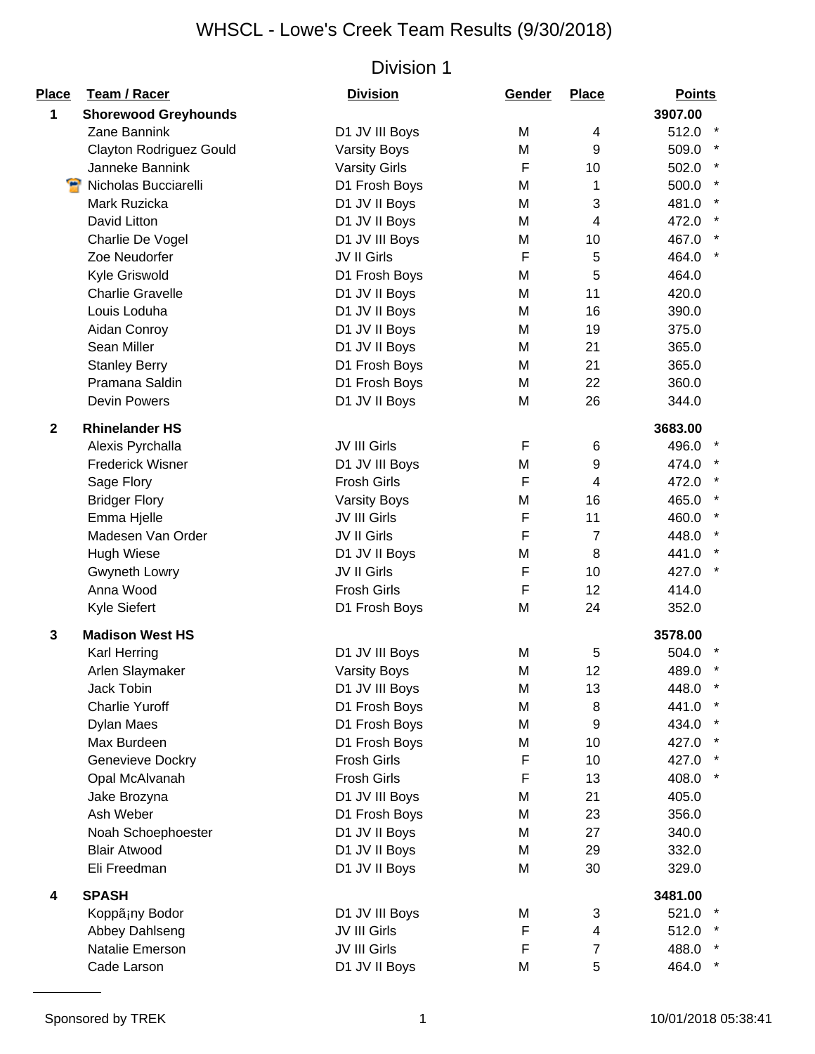| Place        | Team / Racer                   | <b>Division</b>      | Gender | <b>Place</b>   | <b>Points</b>    |
|--------------|--------------------------------|----------------------|--------|----------------|------------------|
| 1            | <b>Shorewood Greyhounds</b>    |                      |        |                | 3907.00          |
|              | Zane Bannink                   | D1 JV III Boys       | M      | 4              | $\star$<br>512.0 |
|              | <b>Clayton Rodriguez Gould</b> | <b>Varsity Boys</b>  | M      | 9              | $\star$<br>509.0 |
|              | Janneke Bannink                | <b>Varsity Girls</b> | F      | 10             | 502.0            |
|              | Nicholas Bucciarelli           | D1 Frosh Boys        | M      | 1              | $\star$<br>500.0 |
|              | Mark Ruzicka                   | D1 JV II Boys        | M      | 3              | 481.0            |
|              | David Litton                   | D1 JV II Boys        | M      | $\overline{4}$ | $\star$<br>472.0 |
|              | Charlie De Vogel               | D1 JV III Boys       | M      | 10             | 467.0            |
|              | Zoe Neudorfer                  | JV II Girls          | F      | 5              | $\star$<br>464.0 |
|              | Kyle Griswold                  | D1 Frosh Boys        | M      | 5              | 464.0            |
|              | <b>Charlie Gravelle</b>        | D1 JV II Boys        | M      | 11             | 420.0            |
|              | Louis Loduha                   | D1 JV II Boys        | M      | 16             | 390.0            |
|              | Aidan Conroy                   | D1 JV II Boys        | M      | 19             | 375.0            |
|              | Sean Miller                    | D1 JV II Boys        | M      | 21             | 365.0            |
|              | <b>Stanley Berry</b>           | D1 Frosh Boys        | M      | 21             | 365.0            |
|              | Pramana Saldin                 | D1 Frosh Boys        | M      | 22             | 360.0            |
|              | <b>Devin Powers</b>            | D1 JV II Boys        | M      | 26             | 344.0            |
|              |                                |                      |        |                |                  |
| $\mathbf{2}$ | <b>Rhinelander HS</b>          |                      |        |                | 3683.00          |
|              | Alexis Pyrchalla               | <b>JV III Girls</b>  | F      | 6              | 496.0 *          |
|              | <b>Frederick Wisner</b>        | D1 JV III Boys       | M      | 9              | 474.0 *          |
|              | Sage Flory                     | <b>Frosh Girls</b>   | F      | $\overline{4}$ | 472.0            |
|              | <b>Bridger Flory</b>           | <b>Varsity Boys</b>  | M      | 16             | 465.0            |
|              | Emma Hjelle                    | JV III Girls         | F      | 11             | 460.0            |
|              | Madesen Van Order              | JV II Girls          | F      | $\overline{7}$ | 448.0            |
|              | <b>Hugh Wiese</b>              | D1 JV II Boys        | M      | 8              | $\star$<br>441.0 |
|              | Gwyneth Lowry                  | JV II Girls          | F      | 10             | 427.0 *          |
|              | Anna Wood                      | <b>Frosh Girls</b>   | F      | 12             | 414.0            |
|              | <b>Kyle Siefert</b>            | D1 Frosh Boys        | M      | 24             | 352.0            |
| 3            | <b>Madison West HS</b>         |                      |        |                | 3578.00          |
|              | Karl Herring                   | D1 JV III Boys       | M      | 5              | 504.0            |
|              | Arlen Slaymaker                | <b>Varsity Boys</b>  | M      | 12             | 489.0            |
|              | Jack Tobin                     | D1 JV III Boys       | M      | 13             | 448.0            |
|              | <b>Charlie Yuroff</b>          | D1 Frosh Boys        | M      | 8              | 441.0            |
|              | <b>Dylan Maes</b>              | D1 Frosh Boys        | M      | 9              | 434.0            |
|              | Max Burdeen                    | D1 Frosh Boys        | M      | 10             | 427.0 *          |
|              | Genevieve Dockry               | <b>Frosh Girls</b>   | F      | 10             | 427.0 *          |
|              | Opal McAlvanah                 | <b>Frosh Girls</b>   | F      | 13             | $\star$<br>408.0 |
|              | Jake Brozyna                   | D1 JV III Boys       | M      | 21             | 405.0            |
|              | Ash Weber                      | D1 Frosh Boys        | M      | 23             | 356.0            |
|              | Noah Schoephoester             | D1 JV II Boys        | M      | 27             | 340.0            |
|              | <b>Blair Atwood</b>            | D1 JV II Boys        | M      | 29             | 332.0            |
|              | Eli Freedman                   | D1 JV II Boys        | M      | 30             | 329.0            |
| 4            | <b>SPASH</b>                   |                      |        |                | 3481.00          |
|              | Koppã¡ny Bodor                 | D1 JV III Boys       | M      | 3              | 521.0            |
|              | Abbey Dahlseng                 | JV III Girls         | F      | 4              | 512.0 *          |
|              | Natalie Emerson                | JV III Girls         | F      | 7              | 488.0 *          |
|              | Cade Larson                    | D1 JV II Boys        | M      | 5              | 464.0 *          |
|              |                                |                      |        |                |                  |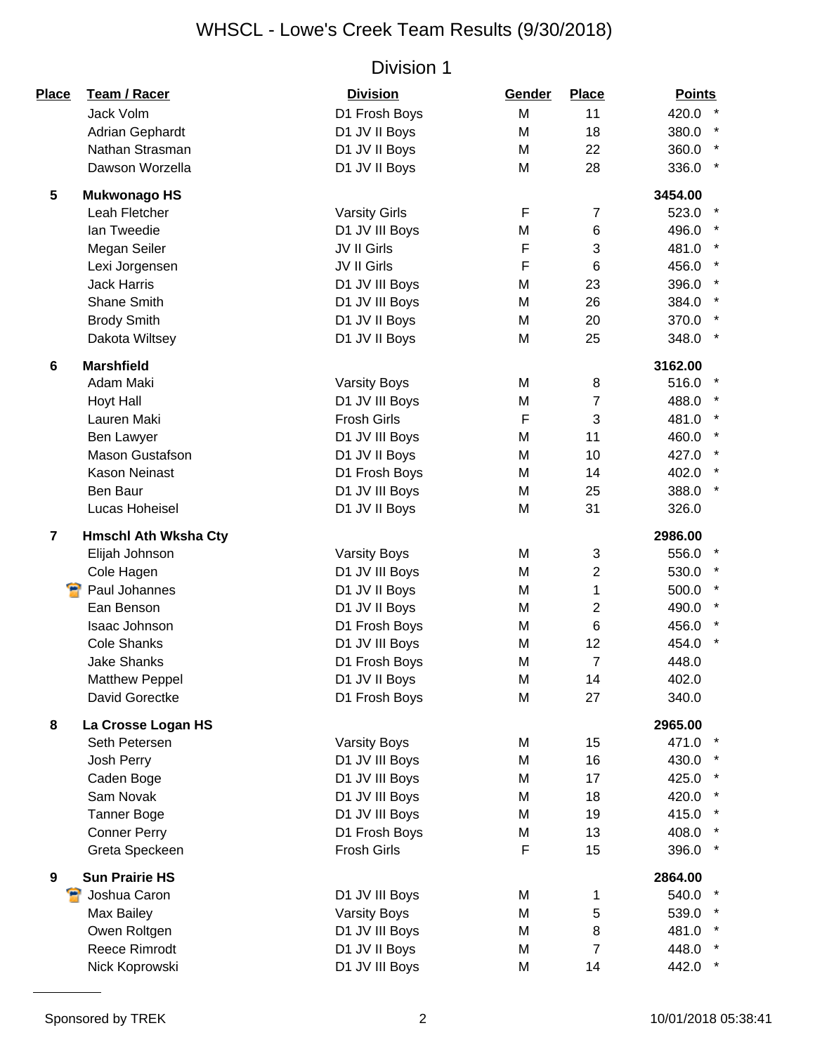| Place    | <b>Team / Racer</b>         | <b>Division</b>      | Gender      | <b>Place</b>   | <b>Points</b>    |
|----------|-----------------------------|----------------------|-------------|----------------|------------------|
|          | Jack Volm                   | D1 Frosh Boys        | M           | 11             | 420.0            |
|          | Adrian Gephardt             | D1 JV II Boys        | M           | 18             | $\star$<br>380.0 |
|          | Nathan Strasman             | D1 JV II Boys        | M           | 22             | $\star$<br>360.0 |
|          | Dawson Worzella             | D1 JV II Boys        | M           | 28             | $\star$<br>336.0 |
| 5        | <b>Mukwonago HS</b>         |                      |             |                | 3454.00          |
|          | Leah Fletcher               | <b>Varsity Girls</b> | F           | 7              | 523.0            |
|          | Ian Tweedie                 | D1 JV III Boys       | M           | 6              | 496.0            |
|          | Megan Seiler                | JV II Girls          | F           | 3              | 481.0            |
|          | Lexi Jorgensen              | JV II Girls          | $\mathsf F$ | 6              | 456.0            |
|          | <b>Jack Harris</b>          | D1 JV III Boys       | M           | 23             | 396.0            |
|          | Shane Smith                 | D1 JV III Boys       | M           | 26             | 384.0            |
|          | <b>Brody Smith</b>          | D1 JV II Boys        | M           | 20             | 370.0            |
|          | Dakota Wiltsey              | D1 JV II Boys        | M           | 25             | 348.0            |
| 6        | <b>Marshfield</b>           |                      |             |                | 3162.00          |
|          | Adam Maki                   | <b>Varsity Boys</b>  | M           | 8              | 516.0            |
|          | <b>Hoyt Hall</b>            | D1 JV III Boys       | M           | $\overline{7}$ | 488.0            |
|          | Lauren Maki                 | <b>Frosh Girls</b>   | F           | 3              | 481.0            |
|          | Ben Lawyer                  | D1 JV III Boys       | M           | 11             | 460.0            |
|          | <b>Mason Gustafson</b>      | D1 JV II Boys        | M           | 10             | 427.0            |
|          | <b>Kason Neinast</b>        | D1 Frosh Boys        | M           | 14             | $\star$<br>402.0 |
|          | <b>Ben Baur</b>             | D1 JV III Boys       | M           | 25             | 388.0            |
|          | Lucas Hoheisel              | D1 JV II Boys        | M           | 31             | 326.0            |
| 7        | <b>Hmschl Ath Wksha Cty</b> |                      |             |                | 2986.00          |
|          | Elijah Johnson              | <b>Varsity Boys</b>  | M           | 3              | 556.0            |
|          | Cole Hagen                  | D1 JV III Boys       | M           | $\overline{2}$ | 530.0            |
|          | Paul Johannes               | D1 JV II Boys        | M           | 1              | 500.0            |
|          | Ean Benson                  | D1 JV II Boys        | M           | $\overline{2}$ | 490.0            |
|          | Isaac Johnson               | D1 Frosh Boys        | M           | 6              | 456.0            |
|          | <b>Cole Shanks</b>          | D1 JV III Boys       | M           | 12             | $\star$<br>454.0 |
|          | <b>Jake Shanks</b>          | D1 Frosh Boys        | M           | $\overline{7}$ | 448.0            |
|          | <b>Matthew Peppel</b>       | D1 JV II Boys        | M           | 14             | 402.0            |
|          | David Gorectke              | D1 Frosh Boys        | M           | 27             | 340.0            |
| 8        | La Crosse Logan HS          |                      |             |                | 2965.00          |
|          | Seth Petersen               | <b>Varsity Boys</b>  | M           | 15             | 471.0            |
|          | Josh Perry                  | D1 JV III Boys       | M           | 16             | 430.0            |
|          | Caden Boge                  | D1 JV III Boys       | M           | 17             | 425.0            |
|          | Sam Novak                   | D1 JV III Boys       | M           | 18             | 420.0<br>$\star$ |
|          | <b>Tanner Boge</b>          | D1 JV III Boys       | M           | 19             | 415.0            |
|          | <b>Conner Perry</b>         | D1 Frosh Boys        | M           | 13             | $\star$<br>408.0 |
|          | Greta Speckeen              | <b>Frosh Girls</b>   | F           | 15             | $\star$<br>396.0 |
| 9        | <b>Sun Prairie HS</b>       |                      |             |                | 2864.00          |
| <b>P</b> | Joshua Caron                | D1 JV III Boys       | M           | $\mathbf 1$    | 540.0            |
|          | Max Bailey                  | <b>Varsity Boys</b>  | M           | 5              | 539.0            |
|          | Owen Roltgen                | D1 JV III Boys       | M           | 8              | 481.0            |
|          | Reece Rimrodt               | D1 JV II Boys        | M           | $\overline{7}$ | 448.0            |
|          | Nick Koprowski              | D1 JV III Boys       | M           | 14             | 442.0 *          |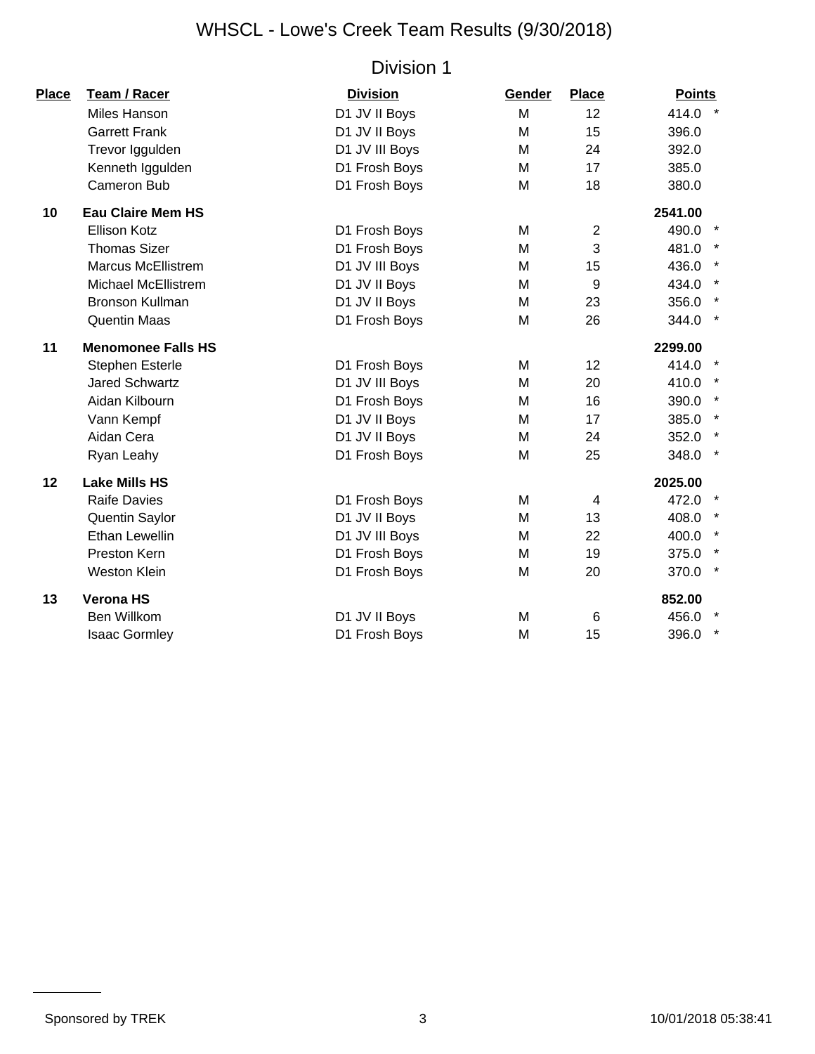| Place | Team / Racer               | <b>Division</b> | Gender | <b>Place</b>   | <b>Points</b> |         |
|-------|----------------------------|-----------------|--------|----------------|---------------|---------|
|       | Miles Hanson               | D1 JV II Boys   | M      | 12             | 414.0         |         |
|       | <b>Garrett Frank</b>       | D1 JV II Boys   | M      | 15             | 396.0         |         |
|       | Trevor Iggulden            | D1 JV III Boys  | M      | 24             | 392.0         |         |
|       | Kenneth Iggulden           | D1 Frosh Boys   | M      | 17             | 385.0         |         |
|       | Cameron Bub                | D1 Frosh Boys   | M      | 18             | 380.0         |         |
| 10    | <b>Eau Claire Mem HS</b>   |                 |        |                | 2541.00       |         |
|       | Ellison Kotz               | D1 Frosh Boys   | M      | $\overline{2}$ | 490.0         |         |
|       | <b>Thomas Sizer</b>        | D1 Frosh Boys   | M      | 3              | 481.0         |         |
|       | <b>Marcus McEllistrem</b>  | D1 JV III Boys  | M      | 15             | 436.0         |         |
|       | <b>Michael McEllistrem</b> | D1 JV II Boys   | M      | 9              | 434.0         |         |
|       | <b>Bronson Kullman</b>     | D1 JV II Boys   | M      | 23             | 356.0         |         |
|       | <b>Quentin Maas</b>        | D1 Frosh Boys   | M      | 26             | 344.0         |         |
| 11    | <b>Menomonee Falls HS</b>  |                 |        |                | 2299.00       |         |
|       | <b>Stephen Esterle</b>     | D1 Frosh Boys   | M      | 12             | 414.0         |         |
|       | <b>Jared Schwartz</b>      | D1 JV III Boys  | M      | 20             | 410.0         |         |
|       | Aidan Kilbourn             | D1 Frosh Boys   | M      | 16             | 390.0         |         |
|       | Vann Kempf                 | D1 JV II Boys   | M      | 17             | 385.0         |         |
|       | Aidan Cera                 | D1 JV II Boys   | M      | 24             | 352.0         |         |
|       | Ryan Leahy                 | D1 Frosh Boys   | M      | 25             | 348.0         |         |
| 12    | <b>Lake Mills HS</b>       |                 |        |                | 2025.00       |         |
|       | <b>Raife Davies</b>        | D1 Frosh Boys   | M      | 4              | 472.0         |         |
|       | Quentin Saylor             | D1 JV II Boys   | M      | 13             | 408.0         |         |
|       | <b>Ethan Lewellin</b>      | D1 JV III Boys  | M      | 22             | 400.0         |         |
|       | Preston Kern               | D1 Frosh Boys   | M      | 19             | 375.0         |         |
|       | <b>Weston Klein</b>        | D1 Frosh Boys   | M      | 20             | 370.0         | $\star$ |
| 13    | <b>Verona HS</b>           |                 |        |                | 852.00        |         |
|       | <b>Ben Willkom</b>         | D1 JV II Boys   | м      | 6              | 456.0         |         |
|       | <b>Isaac Gormley</b>       | D1 Frosh Boys   | M      | 15             | 396.0         |         |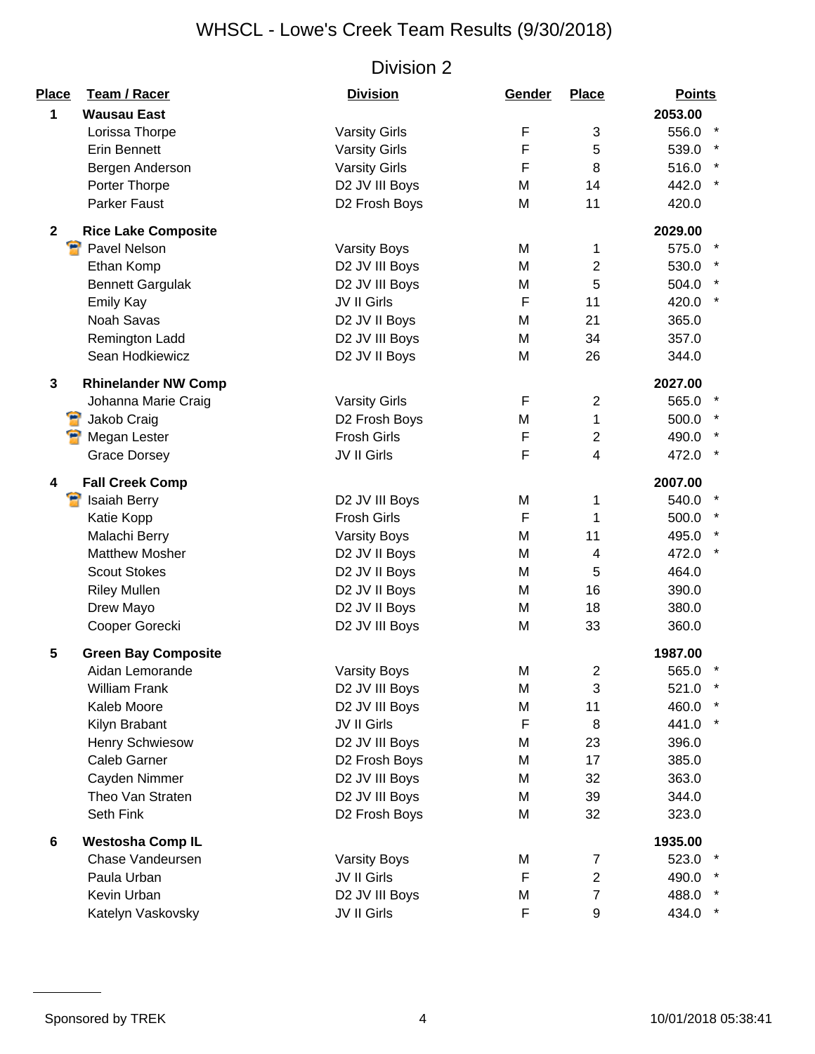| <u>Place</u> | <b>Team / Racer</b>        | <b>Division</b>      | Gender | <b>Place</b>   | <b>Points</b> |
|--------------|----------------------------|----------------------|--------|----------------|---------------|
| 1            | <b>Wausau East</b>         |                      |        |                | 2053.00       |
|              | Lorissa Thorpe             | <b>Varsity Girls</b> | F      | 3              | 556.0 *       |
|              | <b>Erin Bennett</b>        | <b>Varsity Girls</b> | F      | 5              | 539.0         |
|              | Bergen Anderson            | <b>Varsity Girls</b> | F      | 8              | 516.0         |
|              | Porter Thorpe              | D2 JV III Boys       | M      | 14             | 442.0         |
|              | Parker Faust               | D2 Frosh Boys        | M      | 11             | 420.0         |
| $\mathbf{2}$ | <b>Rice Lake Composite</b> |                      |        |                | 2029.00       |
|              | <b>P</b> Pavel Nelson      | <b>Varsity Boys</b>  | M      | 1              | 575.0         |
|              | Ethan Komp                 | D2 JV III Boys       | M      | $\overline{2}$ | 530.0         |
|              | <b>Bennett Gargulak</b>    | D2 JV III Boys       | M      | 5              | 504.0         |
|              | <b>Emily Kay</b>           | JV II Girls          | F      | 11             | 420.0 *       |
|              | Noah Savas                 | D2 JV II Boys        | M      | 21             | 365.0         |
|              | Remington Ladd             | D2 JV III Boys       | M      | 34             | 357.0         |
|              | Sean Hodkiewicz            | D2 JV II Boys        | M      | 26             | 344.0         |
| 3            | <b>Rhinelander NW Comp</b> |                      |        |                | 2027.00       |
|              | Johanna Marie Craig        | <b>Varsity Girls</b> | F      | $\overline{2}$ | 565.0         |
|              | Jakob Craig                | D2 Frosh Boys        | M      | 1              | 500.0         |
|              | Megan Lester               | <b>Frosh Girls</b>   | F      | $\overline{2}$ | 490.0         |
|              | <b>Grace Dorsey</b>        | JV II Girls          | F      | $\overline{4}$ | 472.0 *       |
| 4            | <b>Fall Creek Comp</b>     |                      |        |                | 2007.00       |
|              | <b>Isaiah Berry</b>        | D2 JV III Boys       | M      | 1              | 540.0         |
|              | Katie Kopp                 | <b>Frosh Girls</b>   | F      | 1              | 500.0         |
|              | Malachi Berry              | <b>Varsity Boys</b>  | M      | 11             | 495.0         |
|              | <b>Matthew Mosher</b>      | D2 JV II Boys        | M      | 4              | 472.0 *       |
|              | <b>Scout Stokes</b>        | D2 JV II Boys        | M      | 5              | 464.0         |
|              | <b>Riley Mullen</b>        | D2 JV II Boys        | M      | 16             | 390.0         |
|              | Drew Mayo                  | D2 JV II Boys        | M      | 18             | 380.0         |
|              | Cooper Gorecki             | D2 JV III Boys       | M      | 33             | 360.0         |
| 5            | <b>Green Bay Composite</b> |                      |        |                | 1987.00       |
|              | Aidan Lemorande            | <b>Varsity Boys</b>  | M      | $\overline{2}$ | 565.0         |
|              | <b>William Frank</b>       | D2 JV III Boys       | M      | 3              | 521.0         |
|              | Kaleb Moore                | D2 JV III Boys       | M      | 11             | 460.0         |
|              | Kilyn Brabant              | JV II Girls          | F      | 8              | 441.0         |
|              | <b>Henry Schwiesow</b>     | D2 JV III Boys       | M      | 23             | 396.0         |
|              | <b>Caleb Garner</b>        | D2 Frosh Boys        | M      | 17             | 385.0         |
|              | Cayden Nimmer              | D2 JV III Boys       | M      | 32             | 363.0         |
|              | Theo Van Straten           | D2 JV III Boys       | M      | 39             | 344.0         |
|              | Seth Fink                  | D2 Frosh Boys        | M      | 32             | 323.0         |
| 6            | <b>Westosha Comp IL</b>    |                      |        |                | 1935.00       |
|              | Chase Vandeursen           | <b>Varsity Boys</b>  | M      | 7              | 523.0         |
|              | Paula Urban                | JV II Girls          | F      | $\overline{2}$ | 490.0         |
|              | Kevin Urban                | D2 JV III Boys       | M      | $\overline{7}$ | 488.0         |
|              | Katelyn Vaskovsky          | JV II Girls          | F      | 9              | 434.0         |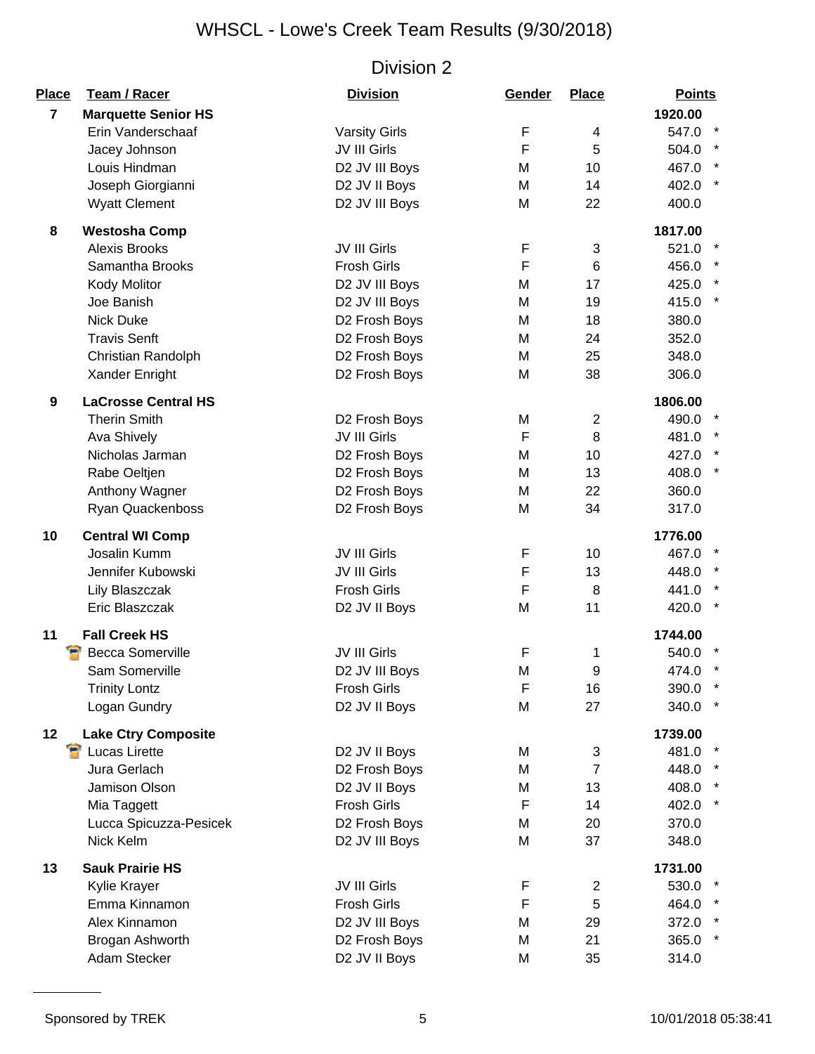| Place          | <b>Team / Racer</b>        | <b>Division</b>      | Gender      | <b>Place</b>   | <b>Points</b> |
|----------------|----------------------------|----------------------|-------------|----------------|---------------|
| $\overline{7}$ | <b>Marquette Senior HS</b> |                      |             |                | 1920.00       |
|                | Erin Vanderschaaf          | <b>Varsity Girls</b> | F           | 4              | 547.0         |
|                | Jacey Johnson              | JV III Girls         | F           | 5              | 504.0         |
|                | Louis Hindman              | D2 JV III Boys       | M           | 10             | 467.0         |
|                | Joseph Giorgianni          | D2 JV II Boys        | M           | 14             | 402.0         |
|                | <b>Wyatt Clement</b>       | D2 JV III Boys       | M           | 22             | 400.0         |
| 8              | <b>Westosha Comp</b>       |                      |             |                | 1817.00       |
|                | <b>Alexis Brooks</b>       | JV III Girls         | F           | 3              | 521.0         |
|                | Samantha Brooks            | <b>Frosh Girls</b>   | F           | 6              | 456.0         |
|                | Kody Molitor               | D2 JV III Boys       | M           | 17             | 425.0         |
|                | Joe Banish                 | D2 JV III Boys       | M           | 19             | 415.0         |
|                | <b>Nick Duke</b>           | D2 Frosh Boys        | M           | 18             | 380.0         |
|                | <b>Travis Senft</b>        | D2 Frosh Boys        | M           | 24             | 352.0         |
|                | Christian Randolph         | D2 Frosh Boys        | M           | 25             | 348.0         |
|                | Xander Enright             | D2 Frosh Boys        | M           | 38             | 306.0         |
| 9              | <b>LaCrosse Central HS</b> |                      |             |                | 1806.00       |
|                | <b>Therin Smith</b>        | D2 Frosh Boys        | M           | $\mathbf{2}$   | 490.0         |
|                | Ava Shively                | JV III Girls         | F           | 8              | 481.0         |
|                | Nicholas Jarman            | D2 Frosh Boys        | M           | 10             | 427.0         |
|                | Rabe Oeltjen               | D2 Frosh Boys        | M           | 13             | 408.0         |
|                | Anthony Wagner             | D2 Frosh Boys        | M           | 22             | 360.0         |
|                | Ryan Quackenboss           | D2 Frosh Boys        | M           | 34             | 317.0         |
| 10             | <b>Central WI Comp</b>     |                      |             |                | 1776.00       |
|                | Josalin Kumm               | JV III Girls         | F           | 10             | 467.0         |
|                | Jennifer Kubowski          | JV III Girls         | F           | 13             | 448.0         |
|                | Lily Blaszczak             | <b>Frosh Girls</b>   | $\mathsf F$ | 8              | 441.0         |
|                | Eric Blaszczak             | D2 JV II Boys        | M           | 11             | 420.0         |
| 11             | <b>Fall Creek HS</b>       |                      |             |                | 1744.00       |
|                | <b>Becca Somerville</b>    | JV III Girls         | F           | 1              | 540.0         |
|                | Sam Somerville             | D2 JV III Boys       | M           | 9              | 474.0         |
|                | <b>Trinity Lontz</b>       | Frosh Girls          | F           | 16             | 390.0         |
|                | Logan Gundry               | D2 JV II Boys        | M           | 27             | 340.0         |
| 12             | <b>Lake Ctry Composite</b> |                      |             |                | 1739.00       |
| Р              | Lucas Lirette              | D2 JV II Boys        | M           | 3              | 481.0         |
|                | Jura Gerlach               | D2 Frosh Boys        | M           | $\overline{7}$ | 448.0         |
|                | Jamison Olson              | D2 JV II Boys        | M           | 13             | 408.0         |
|                | Mia Taggett                | <b>Frosh Girls</b>   | F           | 14             | 402.0         |
|                | Lucca Spicuzza-Pesicek     | D2 Frosh Boys        | M           | 20             | 370.0         |
|                | Nick Kelm                  | D2 JV III Boys       | M           | 37             | 348.0         |
| 13             | <b>Sauk Prairie HS</b>     |                      |             |                | 1731.00       |
|                | Kylie Krayer               | JV III Girls         | F           | 2              | 530.0 *       |
|                | Emma Kinnamon              | <b>Frosh Girls</b>   | F           | 5              | 464.0 *       |
|                | Alex Kinnamon              | D2 JV III Boys       | M           | 29             | 372.0 *       |
|                | Brogan Ashworth            | D2 Frosh Boys        | M           | 21             | 365.0         |
|                | Adam Stecker               | D2 JV II Boys        | M           | 35             | 314.0         |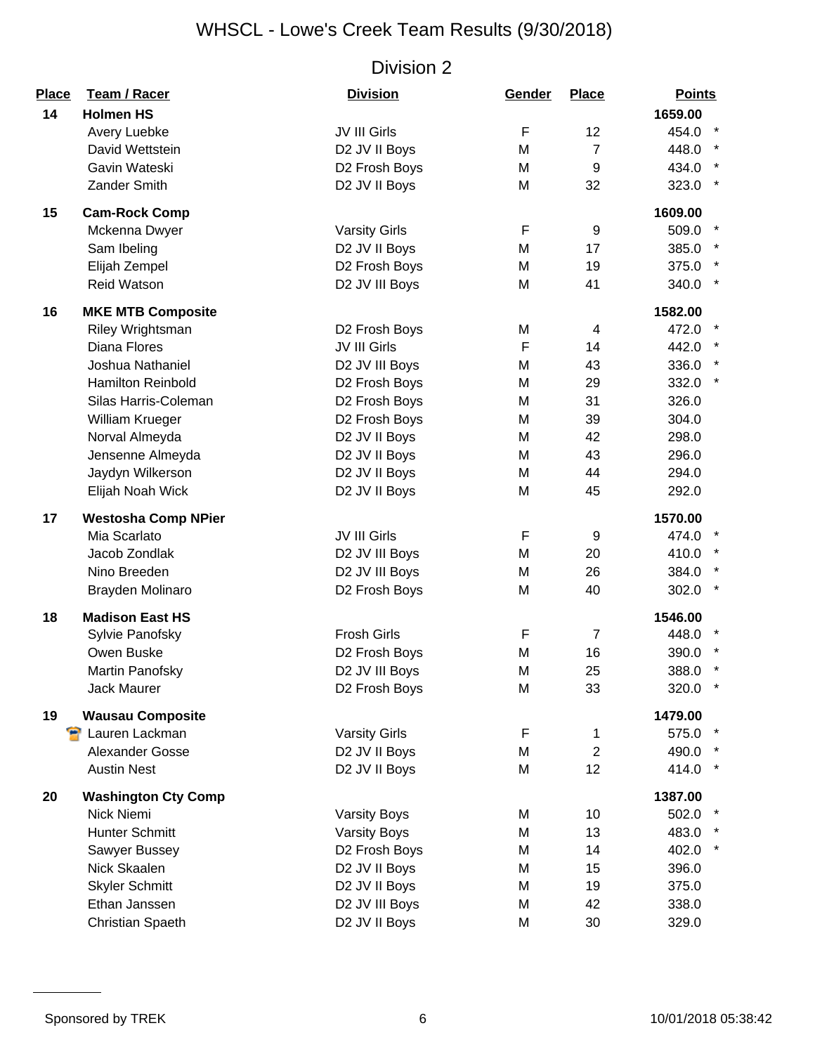| <b>Place</b> | Team / Racer               | <b>Division</b>      | Gender      | <b>Place</b>   | <b>Points</b>    |
|--------------|----------------------------|----------------------|-------------|----------------|------------------|
| 14           | <b>Holmen HS</b>           |                      |             |                | 1659.00          |
|              | Avery Luebke               | JV III Girls         | F           | 12             | $\star$<br>454.0 |
|              | David Wettstein            | D2 JV II Boys        | M           | $\overline{7}$ | 448.0            |
|              | Gavin Wateski              | D2 Frosh Boys        | M           | 9              | 434.0            |
|              | Zander Smith               | D2 JV II Boys        | M           | 32             | 323.0            |
| 15           | <b>Cam-Rock Comp</b>       |                      |             |                | 1609.00          |
|              | Mckenna Dwyer              | <b>Varsity Girls</b> | F           | 9              | 509.0            |
|              | Sam Ibeling                | D2 JV II Boys        | M           | 17             | 385.0            |
|              | Elijah Zempel              | D2 Frosh Boys        | M           | 19             | 375.0            |
|              | <b>Reid Watson</b>         | D2 JV III Boys       | M           | 41             | 340.0            |
| 16           | <b>MKE MTB Composite</b>   |                      |             |                | 1582.00          |
|              | Riley Wrightsman           | D2 Frosh Boys        | M           | 4              | 472.0            |
|              | Diana Flores               | JV III Girls         | F           | 14             | 442.0            |
|              | Joshua Nathaniel           | D2 JV III Boys       | M           | 43             | 336.0            |
|              | <b>Hamilton Reinbold</b>   | D2 Frosh Boys        | M           | 29             | 332.0 *          |
|              | Silas Harris-Coleman       | D2 Frosh Boys        | M           | 31             | 326.0            |
|              | William Krueger            | D2 Frosh Boys        | M           | 39             | 304.0            |
|              | Norval Almeyda             | D2 JV II Boys        | M           | 42             | 298.0            |
|              | Jensenne Almeyda           | D2 JV II Boys        | M           | 43             | 296.0            |
|              | Jaydyn Wilkerson           | D2 JV II Boys        | M           | 44             | 294.0            |
|              | Elijah Noah Wick           | D2 JV II Boys        | M           | 45             | 292.0            |
| 17           | <b>Westosha Comp NPier</b> |                      |             |                | 1570.00          |
|              | Mia Scarlato               | JV III Girls         | $\mathsf F$ | 9              | 474.0            |
|              | Jacob Zondlak              | D2 JV III Boys       | M           | 20             | 410.0            |
|              | Nino Breeden               | D2 JV III Boys       | M           | 26             | 384.0            |
|              | Brayden Molinaro           | D2 Frosh Boys        | M           | 40             | 302.0            |
| 18           | <b>Madison East HS</b>     |                      |             |                | 1546.00          |
|              | Sylvie Panofsky            | <b>Frosh Girls</b>   | F           | $\overline{7}$ | 448.0            |
|              | Owen Buske                 | D2 Frosh Boys        | M           | 16             | 390.0            |
|              | Martin Panofsky            | D2 JV III Boys       | M           | 25             | 388.0            |
|              | Jack Maurer                | D2 Frosh Boys        | M           | 33             | $\star$<br>320.0 |
| 19           | <b>Wausau Composite</b>    |                      |             |                | 1479.00          |
|              | Lauren Lackman             | <b>Varsity Girls</b> | F           | 1              | 575.0            |
|              | Alexander Gosse            | D2 JV II Boys        | M           | $\overline{2}$ | 490.0            |
|              | <b>Austin Nest</b>         | D2 JV II Boys        | M           | 12             | 414.0 *          |
| 20           | <b>Washington Cty Comp</b> |                      |             |                | 1387.00          |
|              | Nick Niemi                 | <b>Varsity Boys</b>  | M           | 10             | 502.0            |
|              | Hunter Schmitt             | <b>Varsity Boys</b>  | M           | 13             | 483.0            |
|              | Sawyer Bussey              | D2 Frosh Boys        | M           | 14             | 402.0 *          |
|              | Nick Skaalen               | D2 JV II Boys        | M           | 15             | 396.0            |
|              | <b>Skyler Schmitt</b>      | D2 JV II Boys        | M           | 19             | 375.0            |
|              | Ethan Janssen              | D2 JV III Boys       | M           | 42             | 338.0            |
|              | Christian Spaeth           | D2 JV II Boys        | M           | 30             | 329.0            |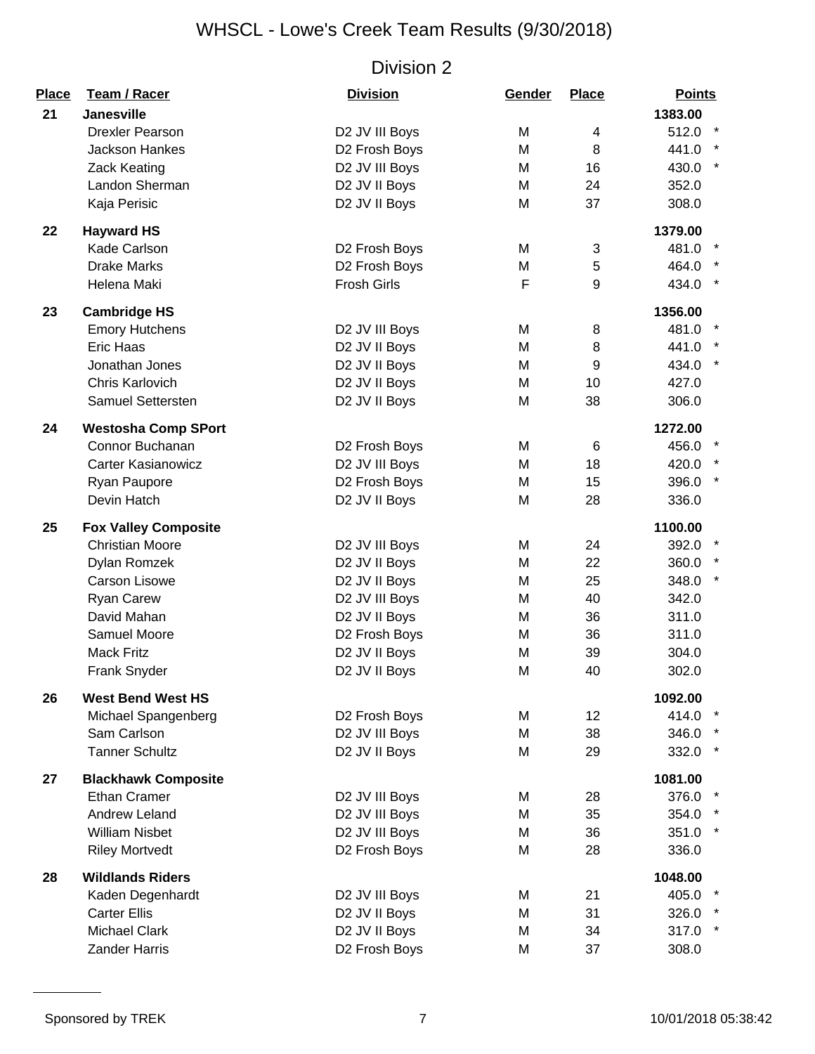| <b>Place</b> | <b>Team / Racer</b>         | <b>Division</b>    | Gender | <b>Place</b> | <b>Points</b>    |
|--------------|-----------------------------|--------------------|--------|--------------|------------------|
| 21           | <b>Janesville</b>           |                    |        |              | 1383.00          |
|              | <b>Drexler Pearson</b>      | D2 JV III Boys     | M      | 4            | 512.0            |
|              | <b>Jackson Hankes</b>       | D2 Frosh Boys      | M      | 8            | 441.0 *          |
|              | <b>Zack Keating</b>         | D2 JV III Boys     | M      | 16           | $\star$<br>430.0 |
|              | Landon Sherman              | D2 JV II Boys      | M      | 24           | 352.0            |
|              | Kaja Perisic                | D2 JV II Boys      | M      | 37           | 308.0            |
| 22           | <b>Hayward HS</b>           |                    |        |              | 1379.00          |
|              | Kade Carlson                | D2 Frosh Boys      | M      | $\sqrt{3}$   | 481.0            |
|              | <b>Drake Marks</b>          | D2 Frosh Boys      | M      | 5            | 464.0            |
|              | Helena Maki                 | <b>Frosh Girls</b> | F      | $9\,$        | 434.0            |
| 23           | <b>Cambridge HS</b>         |                    |        |              | 1356.00          |
|              | <b>Emory Hutchens</b>       | D2 JV III Boys     | M      | 8            | 481.0            |
|              | <b>Eric Haas</b>            | D2 JV II Boys      | M      | 8            | 441.0            |
|              | Jonathan Jones              | D2 JV II Boys      | M      | 9            | 434.0 *          |
|              | Chris Karlovich             | D2 JV II Boys      | M      | 10           | 427.0            |
|              | Samuel Settersten           | D2 JV II Boys      | M      | 38           | 306.0            |
| 24           | <b>Westosha Comp SPort</b>  |                    |        |              | 1272.00          |
|              | Connor Buchanan             | D2 Frosh Boys      | M      | 6            | 456.0 *          |
|              | <b>Carter Kasianowicz</b>   | D2 JV III Boys     | M      | 18           | 420.0 *          |
|              | Ryan Paupore                | D2 Frosh Boys      | M      | 15           | $\star$<br>396.0 |
|              | Devin Hatch                 | D2 JV II Boys      | M      | 28           | 336.0            |
| 25           | <b>Fox Valley Composite</b> |                    |        |              | 1100.00          |
|              | <b>Christian Moore</b>      | D2 JV III Boys     | M      | 24           | 392.0 *          |
|              | Dylan Romzek                | D2 JV II Boys      | M      | 22           | 360.0            |
|              | <b>Carson Lisowe</b>        | D2 JV II Boys      | M      | 25           | 348.0 *          |
|              | <b>Ryan Carew</b>           | D2 JV III Boys     | M      | 40           | 342.0            |
|              | David Mahan                 | D2 JV II Boys      | M      | 36           | 311.0            |
|              | Samuel Moore                | D2 Frosh Boys      | M      | 36           | 311.0            |
|              | <b>Mack Fritz</b>           | D2 JV II Boys      | M      | 39           | 304.0            |
|              | Frank Snyder                | D2 JV II Boys      | M      | 40           | 302.0            |
| 26           | <b>West Bend West HS</b>    |                    |        |              | 1092.00          |
|              | Michael Spangenberg         | D2 Frosh Boys      | M      | 12           | 414.0 *          |
|              | Sam Carlson                 | D2 JV III Boys     | M      | 38           | 346.0 *          |
|              | <b>Tanner Schultz</b>       | D2 JV II Boys      | M      | 29           | 332.0 *          |
| 27           | <b>Blackhawk Composite</b>  |                    |        |              | 1081.00          |
|              | Ethan Cramer                | D2 JV III Boys     | M      | 28           | 376.0 *          |
|              | <b>Andrew Leland</b>        | D2 JV III Boys     | M      | 35           | 354.0            |
|              | <b>William Nisbet</b>       | D2 JV III Boys     | M      | 36           | 351.0 *          |
|              | <b>Riley Mortvedt</b>       | D2 Frosh Boys      | M      | 28           | 336.0            |
| 28           | <b>Wildlands Riders</b>     |                    |        |              | 1048.00          |
|              | Kaden Degenhardt            | D2 JV III Boys     | M      | 21           | 405.0 *          |
|              | <b>Carter Ellis</b>         | D2 JV II Boys      | M      | 31           | 326.0            |
|              | <b>Michael Clark</b>        | D2 JV II Boys      | M      | 34           | 317.0 *          |
|              | <b>Zander Harris</b>        | D2 Frosh Boys      | M      | 37           | 308.0            |